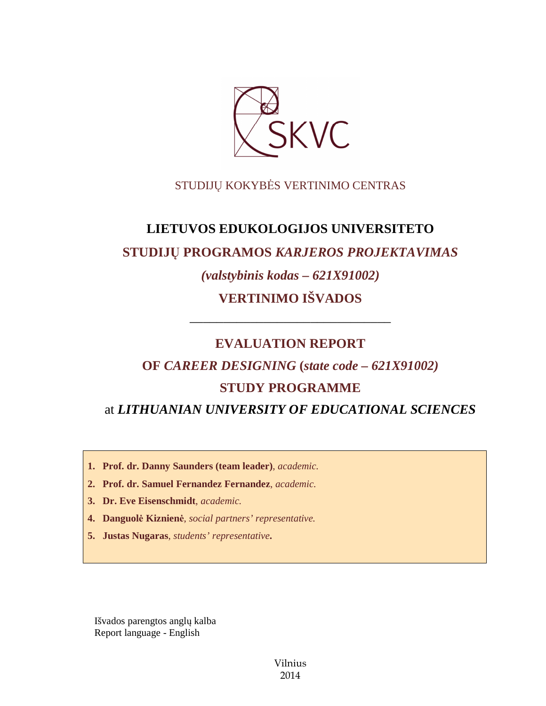

# STUDIJŲ KOKYBĖS VERTINIMO CENTRAS

# **LIETUVOS EDUKOLOGIJOS UNIVERSITETO STUDIJŲ PROGRAMOS** *KARJEROS PROJEKTAVIMAS (valstybinis kodas – 621X91002)* **VERTINIMO IŠVADOS**

# **EVALUATION REPORT**

––––––––––––––––––––––––––––––

# **OF** *CAREER DESIGNING* **(***state code – 621X91002)* **STUDY PROGRAMME** at *LITHUANIAN UNIVERSITY OF EDUCATIONAL SCIENCES*

- **1. Prof. dr. Danny Saunders (team leader)**, *academic.*
- **2. Prof. dr. Samuel Fernandez Fernandez**, *academic.*
- **3. Dr. Eve Eisenschmidt**, *academic.*
- **4. Danguolė Kiznienė**, *social partners' representative.*
- **5. Justas Nugaras**, *students' representative***.**

Išvados parengtos anglų kalba Report language - English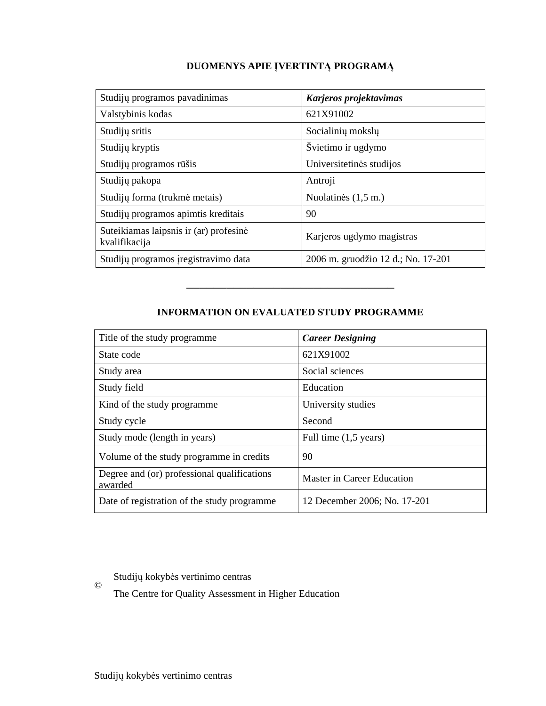# **DUOMENYS APIE ĮVERTINTĄ PROGRAMĄ**

| Studijų programos pavadinimas                           | Karjeros projektavimas             |  |
|---------------------------------------------------------|------------------------------------|--|
| Valstybinis kodas                                       | 621X91002                          |  |
| Studijų sritis                                          | Socialinių mokslų                  |  |
| Studijų kryptis                                         | Švietimo ir ugdymo                 |  |
| Studijų programos rūšis                                 | Universitetinės studijos           |  |
| Studijų pakopa                                          | Antroji                            |  |
| Studijų forma (trukmė metais)                           | Nuolatinės (1,5 m.)                |  |
| Studijų programos apimtis kreditais                     | 90                                 |  |
| Suteikiamas laipsnis ir (ar) profesinė<br>kvalifikacija | Karjeros ugdymo magistras          |  |
| Studijų programos įregistravimo data                    | 2006 m. gruodžio 12 d.; No. 17-201 |  |

## **INFORMATION ON EVALUATED STUDY PROGRAMME**

–––––––––––––––––––––––––––––––

| Title of the study programme.                          | <b>Career Designing</b>         |
|--------------------------------------------------------|---------------------------------|
| State code                                             | 621X91002                       |
| Study area                                             | Social sciences                 |
| Study field                                            | Education                       |
| Kind of the study programme                            | University studies              |
| Study cycle                                            | Second                          |
| Study mode (length in years)                           | Full time $(1,5 \text{ years})$ |
| Volume of the study programme in credits               | 90                              |
| Degree and (or) professional qualifications<br>awarded | Master in Career Education      |
| Date of registration of the study programme            | 12 December 2006; No. 17-201    |

© Studijų kokybės vertinimo centras

The Centre for Quality Assessment in Higher Education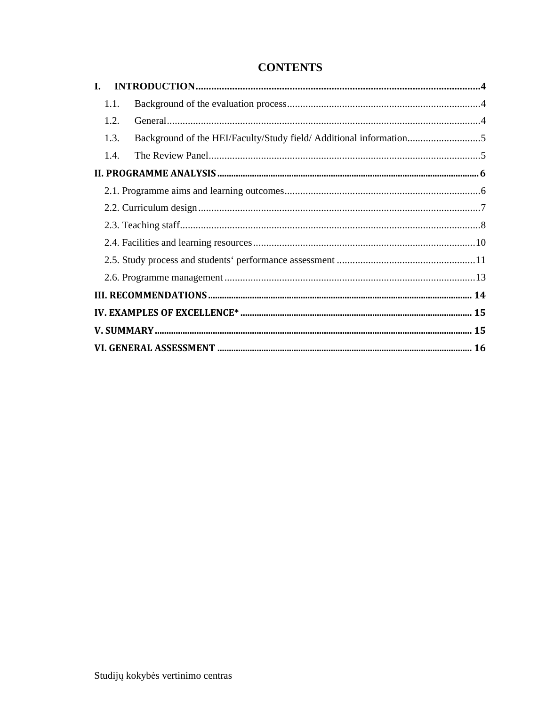# **CONTENTS**

| $\mathbf{I}$ . |      |                                                                    |  |
|----------------|------|--------------------------------------------------------------------|--|
|                | 1.1. |                                                                    |  |
|                | 1.2. |                                                                    |  |
|                | 1.3. | Background of the HEI/Faculty/Study field/ Additional information5 |  |
|                | 1.4. |                                                                    |  |
|                |      |                                                                    |  |
|                |      |                                                                    |  |
|                |      |                                                                    |  |
|                |      |                                                                    |  |
|                |      |                                                                    |  |
|                |      |                                                                    |  |
|                |      |                                                                    |  |
|                |      |                                                                    |  |
|                |      |                                                                    |  |
|                |      |                                                                    |  |
|                |      |                                                                    |  |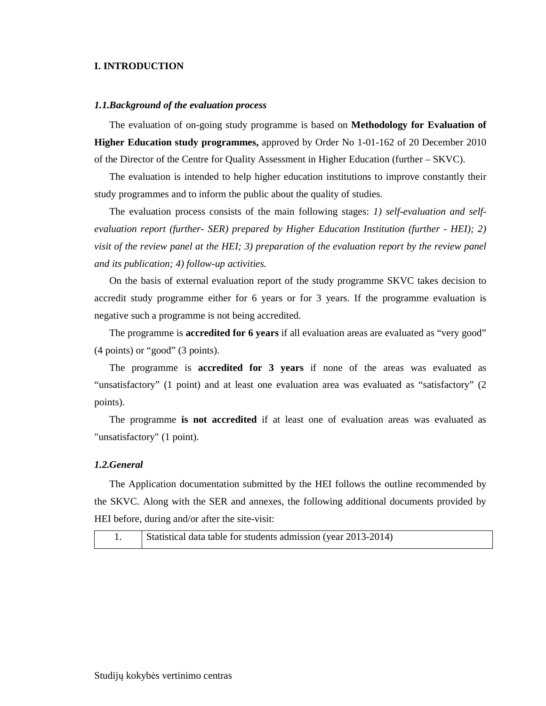#### **I. INTRODUCTION**

#### *1.1.Background of the evaluation process*

The evaluation of on-going study programme is based on **Methodology for Evaluation of Higher Education study programmes,** approved by Order No 1-01-162 of 20 December 2010 of the Director of the Centre for Quality Assessment in Higher Education (further – SKVC).

The evaluation is intended to help higher education institutions to improve constantly their study programmes and to inform the public about the quality of studies.

The evaluation process consists of the main following stages: *1) self-evaluation and selfevaluation report (further- SER) prepared by Higher Education Institution (further - HEI); 2) visit of the review panel at the HEI; 3) preparation of the evaluation report by the review panel and its publication; 4) follow-up activities.* 

On the basis of external evaluation report of the study programme SKVC takes decision to accredit study programme either for 6 years or for 3 years. If the programme evaluation is negative such a programme is not being accredited.

The programme is **accredited for 6 years** if all evaluation areas are evaluated as "very good" (4 points) or "good" (3 points).

The programme is **accredited for 3 years** if none of the areas was evaluated as "unsatisfactory" (1 point) and at least one evaluation area was evaluated as "satisfactory" (2 points).

The programme **is not accredited** if at least one of evaluation areas was evaluated as "unsatisfactory" (1 point).

#### *1.2.General*

The Application documentation submitted by the HEI follows the outline recommended by the SKVC. Along with the SER and annexes, the following additional documents provided by HEI before, during and/or after the site-visit:

1. Statistical data table for students admission (year 2013-2014)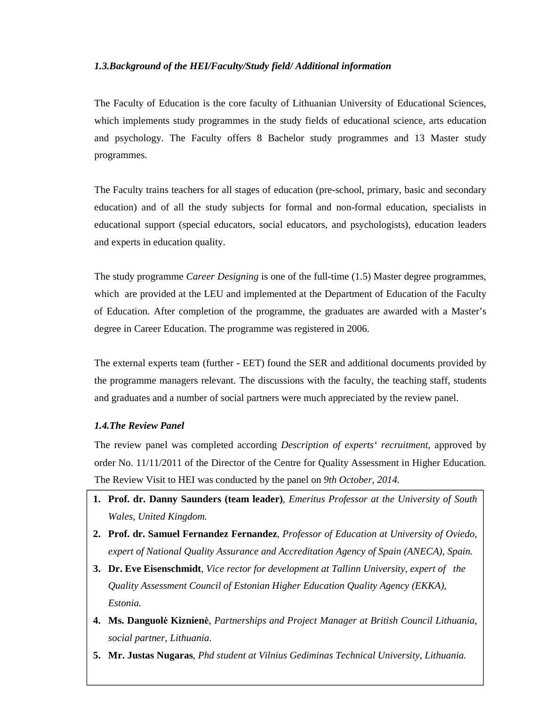## *1.3.Background of the HEI/Faculty/Study field/ Additional information*

The Faculty of Education is the core faculty of Lithuanian University of Educational Sciences, which implements study programmes in the study fields of educational science, arts education and psychology. The Faculty offers 8 Bachelor study programmes and 13 Master study programmes.

The Faculty trains teachers for all stages of education (pre-school, primary, basic and secondary education) and of all the study subjects for formal and non-formal education, specialists in educational support (special educators, social educators, and psychologists), education leaders and experts in education quality.

The study programme *Career Designing* is one of the full-time (1.5) Master degree programmes, which are provided at the LEU and implemented at the Department of Education of the Faculty of Education. After completion of the programme, the graduates are awarded with a Master's degree in Career Education. The programme was registered in 2006.

The external experts team (further - EET) found the SER and additional documents provided by the programme managers relevant. The discussions with the faculty, the teaching staff, students and graduates and a number of social partners were much appreciated by the review panel.

## *1.4.The Review Panel*

The review panel was completed according *Description of experts' recruitment*, approved by order No. 11/11/2011 of the Director of the Centre for Quality Assessment in Higher Education. The Review Visit to HEI was conducted by the panel on *9th October, 2014.*

- **1. Prof. dr. Danny Saunders (team leader)**, *Emeritus Professor at the University of South Wales, United Kingdom.*
- **2. Prof. dr. Samuel Fernandez Fernandez**, *Professor of Education at University of Oviedo, expert of National Quality Assurance and Accreditation Agency of Spain (ANECA), Spain.*
- **3. Dr. Eve Eisenschmidt**, *Vice rector for development at Tallinn University, expert of the Quality Assessment Council of Estonian Higher Education Quality Agency (EKKA), Estonia.*
- **4. Ms. Danguolė Kiznienė**, *Partnerships and Project Manager at British Council Lithuania*, *social partner, Lithuania*.
- **5. Mr. Justas Nugaras**, *Phd student at Vilnius Gediminas Technical University, Lithuania.*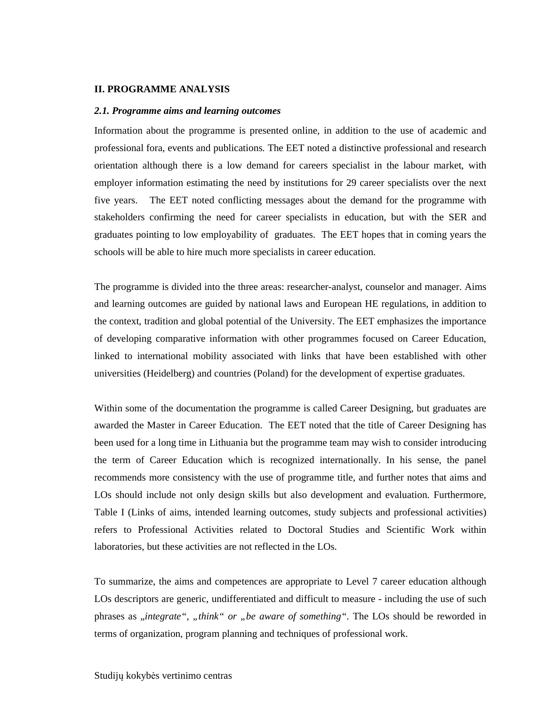#### **II. PROGRAMME ANALYSIS**

#### *2.1. Programme aims and learning outcomes*

Information about the programme is presented online, in addition to the use of academic and professional fora, events and publications. The EET noted a distinctive professional and research orientation although there is a low demand for careers specialist in the labour market, with employer information estimating the need by institutions for 29 career specialists over the next five years. The EET noted conflicting messages about the demand for the programme with stakeholders confirming the need for career specialists in education, but with the SER and graduates pointing to low employability of graduates. The EET hopes that in coming years the schools will be able to hire much more specialists in career education.

The programme is divided into the three areas: researcher-analyst, counselor and manager. Aims and learning outcomes are guided by national laws and European HE regulations, in addition to the context, tradition and global potential of the University. The EET emphasizes the importance of developing comparative information with other programmes focused on Career Education, linked to international mobility associated with links that have been established with other universities (Heidelberg) and countries (Poland) for the development of expertise graduates.

Within some of the documentation the programme is called Career Designing, but graduates are awarded the Master in Career Education. The EET noted that the title of Career Designing has been used for a long time in Lithuania but the programme team may wish to consider introducing the term of Career Education which is recognized internationally. In his sense, the panel recommends more consistency with the use of programme title, and further notes that aims and LOs should include not only design skills but also development and evaluation. Furthermore, Table I (Links of aims, intended learning outcomes, study subjects and professional activities) refers to Professional Activities related to Doctoral Studies and Scientific Work within laboratories, but these activities are not reflected in the LOs.

To summarize, the aims and competences are appropriate to Level 7 career education although LOs descriptors are generic, undifferentiated and difficult to measure - including the use of such phrases as *"integrate", "think" or "be aware of something"*. The LOs should be reworded in terms of organization, program planning and techniques of professional work.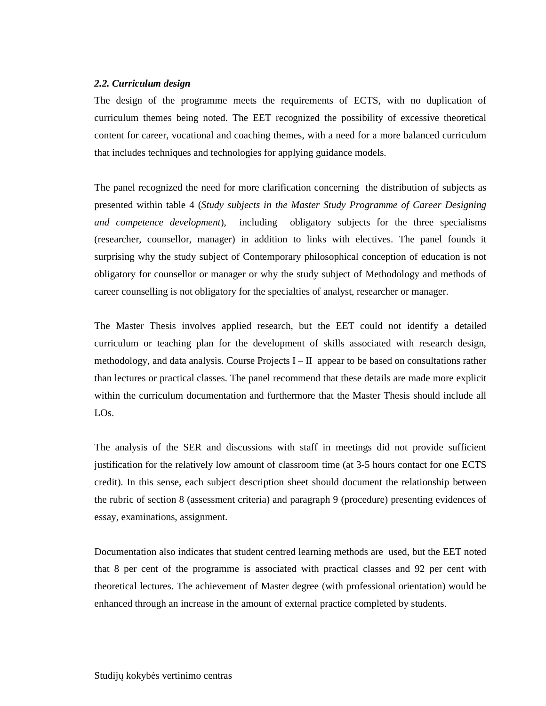#### *2.2. Curriculum design*

The design of the programme meets the requirements of ECTS, with no duplication of curriculum themes being noted. The EET recognized the possibility of excessive theoretical content for career, vocational and coaching themes, with a need for a more balanced curriculum that includes techniques and technologies for applying guidance models.

The panel recognized the need for more clarification concerning the distribution of subjects as presented within table 4 (*Study subjects in the Master Study Programme of Career Designing and competence development*), including obligatory subjects for the three specialisms (researcher, counsellor, manager) in addition to links with electives. The panel founds it surprising why the study subject of Contemporary philosophical conception of education is not obligatory for counsellor or manager or why the study subject of Methodology and methods of career counselling is not obligatory for the specialties of analyst, researcher or manager.

The Master Thesis involves applied research, but the EET could not identify a detailed curriculum or teaching plan for the development of skills associated with research design, methodology, and data analysis. Course Projects I – II appear to be based on consultations rather than lectures or practical classes. The panel recommend that these details are made more explicit within the curriculum documentation and furthermore that the Master Thesis should include all LOs.

The analysis of the SER and discussions with staff in meetings did not provide sufficient justification for the relatively low amount of classroom time (at 3-5 hours contact for one ECTS credit). In this sense, each subject description sheet should document the relationship between the rubric of section 8 (assessment criteria) and paragraph 9 (procedure) presenting evidences of essay, examinations, assignment.

Documentation also indicates that student centred learning methods are used, but the EET noted that 8 per cent of the programme is associated with practical classes and 92 per cent with theoretical lectures. The achievement of Master degree (with professional orientation) would be enhanced through an increase in the amount of external practice completed by students.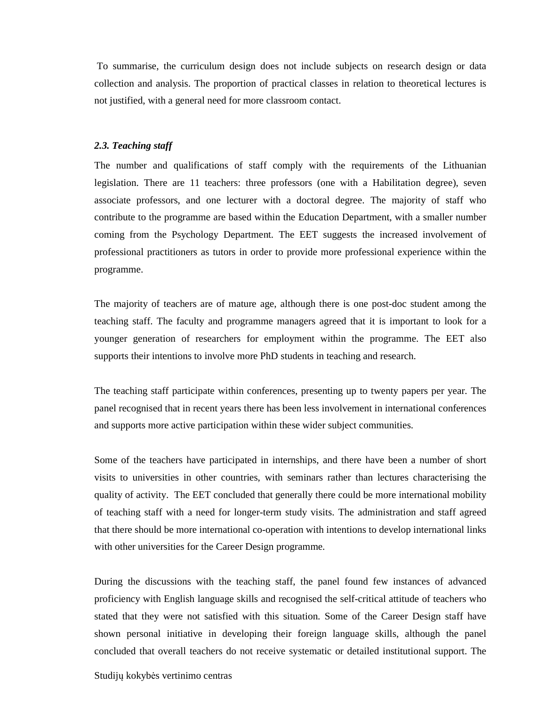To summarise, the curriculum design does not include subjects on research design or data collection and analysis. The proportion of practical classes in relation to theoretical lectures is not justified, with a general need for more classroom contact.

#### *2.3. Teaching staff*

The number and qualifications of staff comply with the requirements of the Lithuanian legislation. There are 11 teachers: three professors (one with a Habilitation degree), seven associate professors, and one lecturer with a doctoral degree. The majority of staff who contribute to the programme are based within the Education Department, with a smaller number coming from the Psychology Department. The EET suggests the increased involvement of professional practitioners as tutors in order to provide more professional experience within the programme.

The majority of teachers are of mature age, although there is one post-doc student among the teaching staff. The faculty and programme managers agreed that it is important to look for a younger generation of researchers for employment within the programme. The EET also supports their intentions to involve more PhD students in teaching and research.

The teaching staff participate within conferences, presenting up to twenty papers per year. The panel recognised that in recent years there has been less involvement in international conferences and supports more active participation within these wider subject communities.

Some of the teachers have participated in internships, and there have been a number of short visits to universities in other countries, with seminars rather than lectures characterising the quality of activity. The EET concluded that generally there could be more international mobility of teaching staff with a need for longer-term study visits. The administration and staff agreed that there should be more international co-operation with intentions to develop international links with other universities for the Career Design programme.

During the discussions with the teaching staff, the panel found few instances of advanced proficiency with English language skills and recognised the self-critical attitude of teachers who stated that they were not satisfied with this situation. Some of the Career Design staff have shown personal initiative in developing their foreign language skills, although the panel concluded that overall teachers do not receive systematic or detailed institutional support. The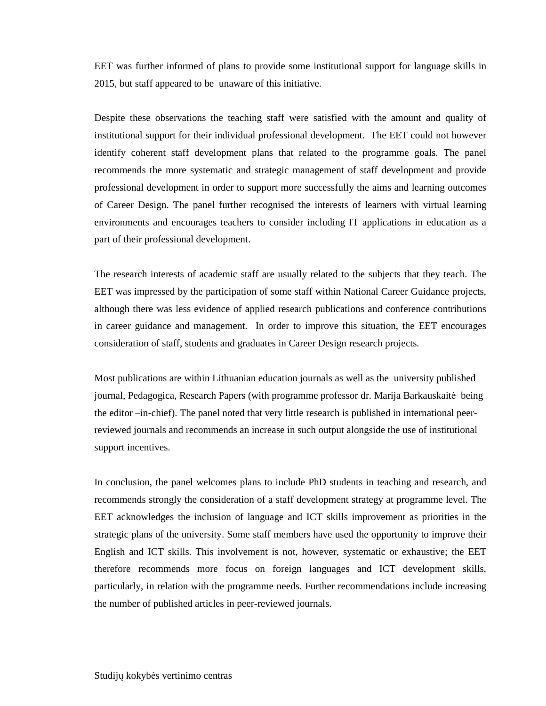EET was further informed of plans to provide some institutional support for language skills in 2015, but staff appeared to be unaware of this initiative.

Despite these observations the teaching staff were satisfied with the amount and quality of institutional support for their individual professional development. The EET could not however identify coherent staff development plans that related to the programme goals. The panel recommends the more systematic and strategic management of staff development and provide professional development in order to support more successfully the aims and learning outcomes of Career Design. The panel further recognised the interests of learners with virtual learning environments and encourages teachers to consider including IT applications in education as a part of their professional development.

The research interests of academic staff are usually related to the subjects that they teach. The EET was impressed by the participation of some staff within National Career Guidance projects, although there was less evidence of applied research publications and conference contributions in career guidance and management. In order to improve this situation, the EET encourages consideration of staff, students and graduates in Career Design research projects.

Most publications are within Lithuanian education journals as well as the university published journal, Pedagogica, Research Papers (with programme professor dr. Marija Barkauskaitė being the editor –in-chief). The panel noted that very little research is published in international peerreviewed journals and recommends an increase in such output alongside the use of institutional support incentives.

In conclusion, the panel welcomes plans to include PhD students in teaching and research, and recommends strongly the consideration of a staff development strategy at programme level. The EET acknowledges the inclusion of language and ICT skills improvement as priorities in the strategic plans of the university. Some staff members have used the opportunity to improve their English and ICT skills. This involvement is not, however, systematic or exhaustive; the EET therefore recommends more focus on foreign languages and ICT development skills, particularly, in relation with the programme needs. Further recommendations include increasing the number of published articles in peer-reviewed journals.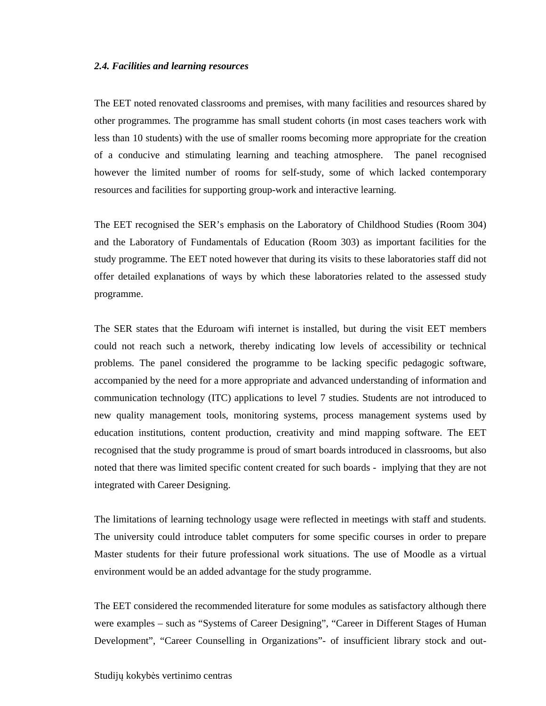#### *2.4. Facilities and learning resources*

The EET noted renovated classrooms and premises, with many facilities and resources shared by other programmes. The programme has small student cohorts (in most cases teachers work with less than 10 students) with the use of smaller rooms becoming more appropriate for the creation of a conducive and stimulating learning and teaching atmosphere. The panel recognised however the limited number of rooms for self-study, some of which lacked contemporary resources and facilities for supporting group-work and interactive learning.

The EET recognised the SER's emphasis on the Laboratory of Childhood Studies (Room 304) and the Laboratory of Fundamentals of Education (Room 303) as important facilities for the study programme. The EET noted however that during its visits to these laboratories staff did not offer detailed explanations of ways by which these laboratories related to the assessed study programme.

The SER states that the Eduroam wifi internet is installed, but during the visit EET members could not reach such a network, thereby indicating low levels of accessibility or technical problems. The panel considered the programme to be lacking specific pedagogic software, accompanied by the need for a more appropriate and advanced understanding of information and communication technology (ITC) applications to level 7 studies. Students are not introduced to new quality management tools, monitoring systems, process management systems used by education institutions, content production, creativity and mind mapping software. The EET recognised that the study programme is proud of smart boards introduced in classrooms, but also noted that there was limited specific content created for such boards - implying that they are not integrated with Career Designing.

The limitations of learning technology usage were reflected in meetings with staff and students. The university could introduce tablet computers for some specific courses in order to prepare Master students for their future professional work situations. The use of Moodle as a virtual environment would be an added advantage for the study programme.

The EET considered the recommended literature for some modules as satisfactory although there were examples – such as "Systems of Career Designing", "Career in Different Stages of Human Development", "Career Counselling in Organizations"- of insufficient library stock and out-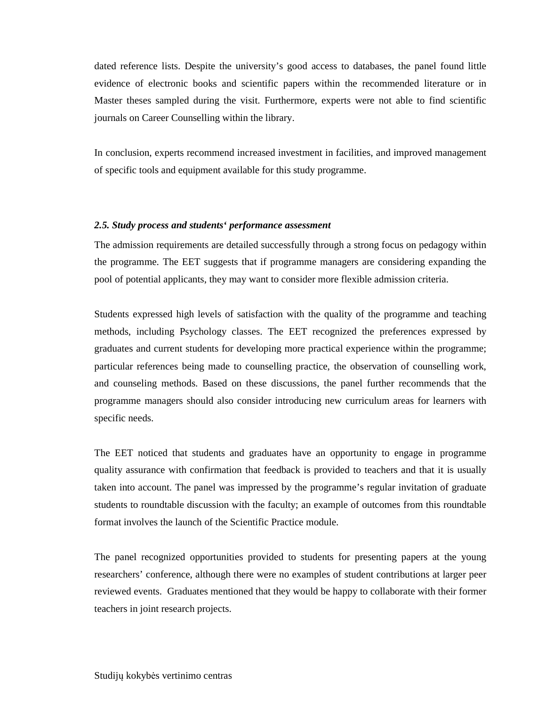dated reference lists. Despite the university's good access to databases, the panel found little evidence of electronic books and scientific papers within the recommended literature or in Master theses sampled during the visit. Furthermore, experts were not able to find scientific journals on Career Counselling within the library.

In conclusion, experts recommend increased investment in facilities, and improved management of specific tools and equipment available for this study programme.

#### *2.5. Study process and students' performance assessment*

The admission requirements are detailed successfully through a strong focus on pedagogy within the programme. The EET suggests that if programme managers are considering expanding the pool of potential applicants, they may want to consider more flexible admission criteria.

Students expressed high levels of satisfaction with the quality of the programme and teaching methods, including Psychology classes. The EET recognized the preferences expressed by graduates and current students for developing more practical experience within the programme; particular references being made to counselling practice, the observation of counselling work, and counseling methods. Based on these discussions, the panel further recommends that the programme managers should also consider introducing new curriculum areas for learners with specific needs.

The EET noticed that students and graduates have an opportunity to engage in programme quality assurance with confirmation that feedback is provided to teachers and that it is usually taken into account. The panel was impressed by the programme's regular invitation of graduate students to roundtable discussion with the faculty; an example of outcomes from this roundtable format involves the launch of the Scientific Practice module.

The panel recognized opportunities provided to students for presenting papers at the young researchers' conference, although there were no examples of student contributions at larger peer reviewed events. Graduates mentioned that they would be happy to collaborate with their former teachers in joint research projects.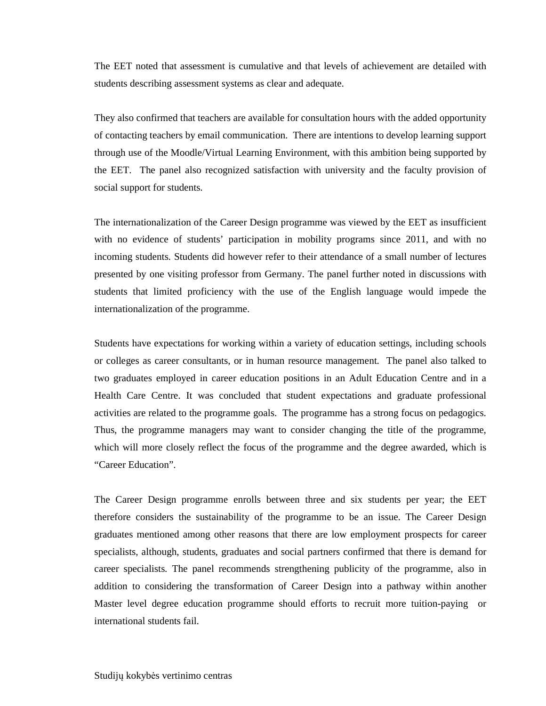The EET noted that assessment is cumulative and that levels of achievement are detailed with students describing assessment systems as clear and adequate.

They also confirmed that teachers are available for consultation hours with the added opportunity of contacting teachers by email communication. There are intentions to develop learning support through use of the Moodle/Virtual Learning Environment, with this ambition being supported by the EET. The panel also recognized satisfaction with university and the faculty provision of social support for students.

The internationalization of the Career Design programme was viewed by the EET as insufficient with no evidence of students' participation in mobility programs since 2011, and with no incoming students. Students did however refer to their attendance of a small number of lectures presented by one visiting professor from Germany. The panel further noted in discussions with students that limited proficiency with the use of the English language would impede the internationalization of the programme.

Students have expectations for working within a variety of education settings, including schools or colleges as career consultants, or in human resource management. The panel also talked to two graduates employed in career education positions in an Adult Education Centre and in a Health Care Centre. It was concluded that student expectations and graduate professional activities are related to the programme goals. The programme has a strong focus on pedagogics. Thus, the programme managers may want to consider changing the title of the programme, which will more closely reflect the focus of the programme and the degree awarded, which is "Career Education".

The Career Design programme enrolls between three and six students per year; the EET therefore considers the sustainability of the programme to be an issue. The Career Design graduates mentioned among other reasons that there are low employment prospects for career specialists, although, students, graduates and social partners confirmed that there is demand for career specialists. The panel recommends strengthening publicity of the programme, also in addition to considering the transformation of Career Design into a pathway within another Master level degree education programme should efforts to recruit more tuition-paying or international students fail.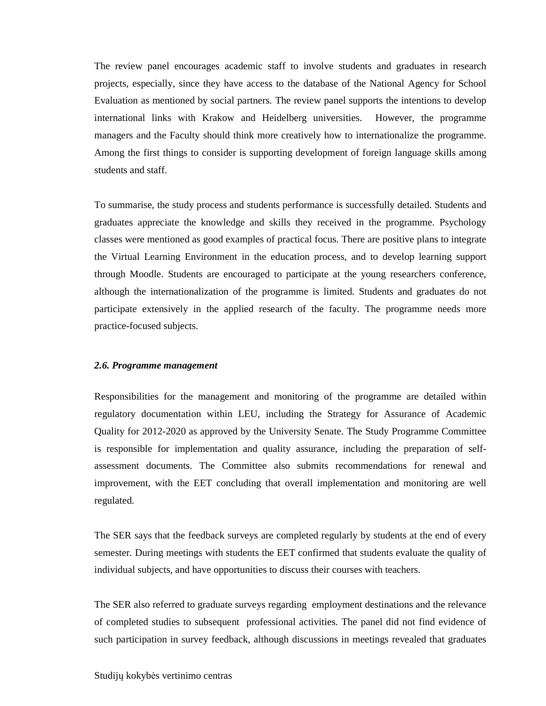The review panel encourages academic staff to involve students and graduates in research projects, especially, since they have access to the database of the National Agency for School Evaluation as mentioned by social partners. The review panel supports the intentions to develop international links with Krakow and Heidelberg universities. However, the programme managers and the Faculty should think more creatively how to internationalize the programme. Among the first things to consider is supporting development of foreign language skills among students and staff.

To summarise, the study process and students performance is successfully detailed. Students and graduates appreciate the knowledge and skills they received in the programme. Psychology classes were mentioned as good examples of practical focus. There are positive plans to integrate the Virtual Learning Environment in the education process, and to develop learning support through Moodle. Students are encouraged to participate at the young researchers conference, although the internationalization of the programme is limited. Students and graduates do not participate extensively in the applied research of the faculty. The programme needs more practice-focused subjects.

#### *2.6. Programme management*

Responsibilities for the management and monitoring of the programme are detailed within regulatory documentation within LEU, including the Strategy for Assurance of Academic Quality for 2012-2020 as approved by the University Senate. The Study Programme Committee is responsible for implementation and quality assurance, including the preparation of selfassessment documents. The Committee also submits recommendations for renewal and improvement, with the EET concluding that overall implementation and monitoring are well regulated.

The SER says that the feedback surveys are completed regularly by students at the end of every semester. During meetings with students the EET confirmed that students evaluate the quality of individual subjects, and have opportunities to discuss their courses with teachers.

The SER also referred to graduate surveys regarding employment destinations and the relevance of completed studies to subsequent professional activities. The panel did not find evidence of such participation in survey feedback, although discussions in meetings revealed that graduates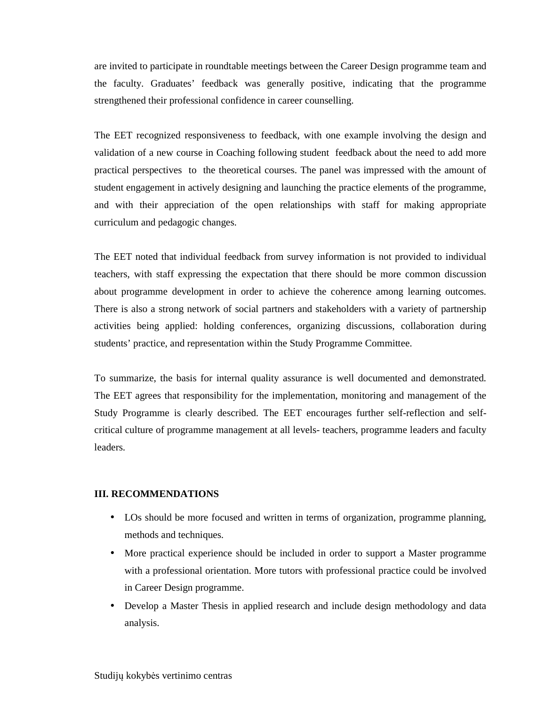are invited to participate in roundtable meetings between the Career Design programme team and the faculty. Graduates' feedback was generally positive, indicating that the programme strengthened their professional confidence in career counselling.

The EET recognized responsiveness to feedback, with one example involving the design and validation of a new course in Coaching following student feedback about the need to add more practical perspectives to the theoretical courses. The panel was impressed with the amount of student engagement in actively designing and launching the practice elements of the programme, and with their appreciation of the open relationships with staff for making appropriate curriculum and pedagogic changes.

The EET noted that individual feedback from survey information is not provided to individual teachers, with staff expressing the expectation that there should be more common discussion about programme development in order to achieve the coherence among learning outcomes. There is also a strong network of social partners and stakeholders with a variety of partnership activities being applied: holding conferences, organizing discussions, collaboration during students' practice, and representation within the Study Programme Committee.

To summarize, the basis for internal quality assurance is well documented and demonstrated. The EET agrees that responsibility for the implementation, monitoring and management of the Study Programme is clearly described. The EET encourages further self-reflection and selfcritical culture of programme management at all levels- teachers, programme leaders and faculty leaders.

#### **III. RECOMMENDATIONS**

- LOs should be more focused and written in terms of organization, programme planning, methods and techniques.
- More practical experience should be included in order to support a Master programme with a professional orientation. More tutors with professional practice could be involved in Career Design programme.
- Develop a Master Thesis in applied research and include design methodology and data analysis.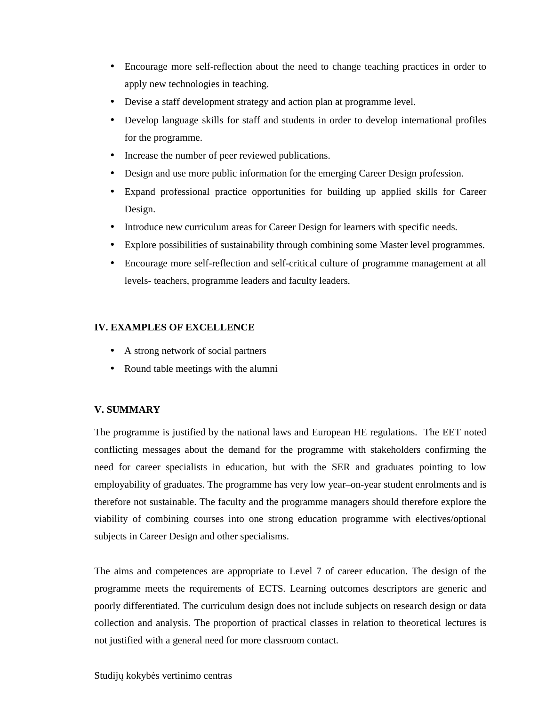- Encourage more self-reflection about the need to change teaching practices in order to apply new technologies in teaching.
- Devise a staff development strategy and action plan at programme level.
- Develop language skills for staff and students in order to develop international profiles for the programme.
- Increase the number of peer reviewed publications.
- Design and use more public information for the emerging Career Design profession.
- Expand professional practice opportunities for building up applied skills for Career Design.
- Introduce new curriculum areas for Career Design for learners with specific needs.
- Explore possibilities of sustainability through combining some Master level programmes.
- Encourage more self-reflection and self-critical culture of programme management at all levels- teachers, programme leaders and faculty leaders.

## **IV. EXAMPLES OF EXCELLENCE**

- A strong network of social partners
- Round table meetings with the alumni

## **V. SUMMARY**

The programme is justified by the national laws and European HE regulations. The EET noted conflicting messages about the demand for the programme with stakeholders confirming the need for career specialists in education, but with the SER and graduates pointing to low employability of graduates. The programme has very low year–on-year student enrolments and is therefore not sustainable. The faculty and the programme managers should therefore explore the viability of combining courses into one strong education programme with electives/optional subjects in Career Design and other specialisms.

The aims and competences are appropriate to Level 7 of career education. The design of the programme meets the requirements of ECTS. Learning outcomes descriptors are generic and poorly differentiated. The curriculum design does not include subjects on research design or data collection and analysis. The proportion of practical classes in relation to theoretical lectures is not justified with a general need for more classroom contact.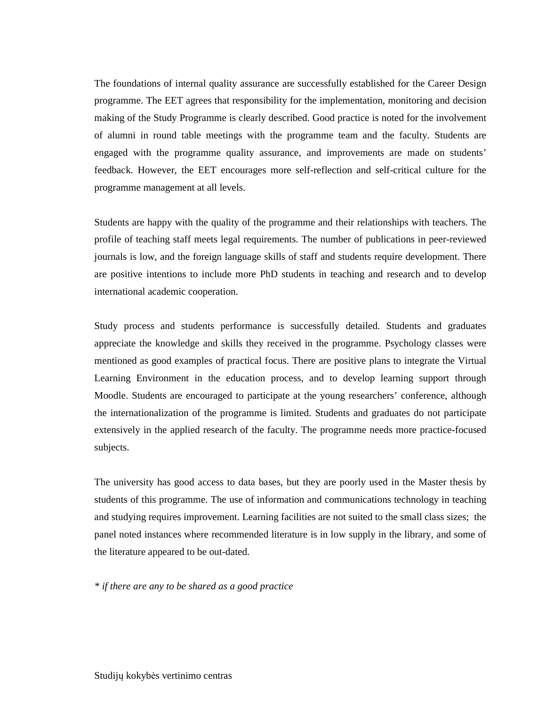The foundations of internal quality assurance are successfully established for the Career Design programme. The EET agrees that responsibility for the implementation, monitoring and decision making of the Study Programme is clearly described. Good practice is noted for the involvement of alumni in round table meetings with the programme team and the faculty. Students are engaged with the programme quality assurance, and improvements are made on students' feedback. However, the EET encourages more self-reflection and self-critical culture for the programme management at all levels.

Students are happy with the quality of the programme and their relationships with teachers. The profile of teaching staff meets legal requirements. The number of publications in peer-reviewed journals is low, and the foreign language skills of staff and students require development. There are positive intentions to include more PhD students in teaching and research and to develop international academic cooperation.

Study process and students performance is successfully detailed. Students and graduates appreciate the knowledge and skills they received in the programme. Psychology classes were mentioned as good examples of practical focus. There are positive plans to integrate the Virtual Learning Environment in the education process, and to develop learning support through Moodle. Students are encouraged to participate at the young researchers' conference, although the internationalization of the programme is limited. Students and graduates do not participate extensively in the applied research of the faculty. The programme needs more practice-focused subjects.

The university has good access to data bases, but they are poorly used in the Master thesis by students of this programme. The use of information and communications technology in teaching and studying requires improvement. Learning facilities are not suited to the small class sizes; the panel noted instances where recommended literature is in low supply in the library, and some of the literature appeared to be out-dated.

*\* if there are any to be shared as a good practice*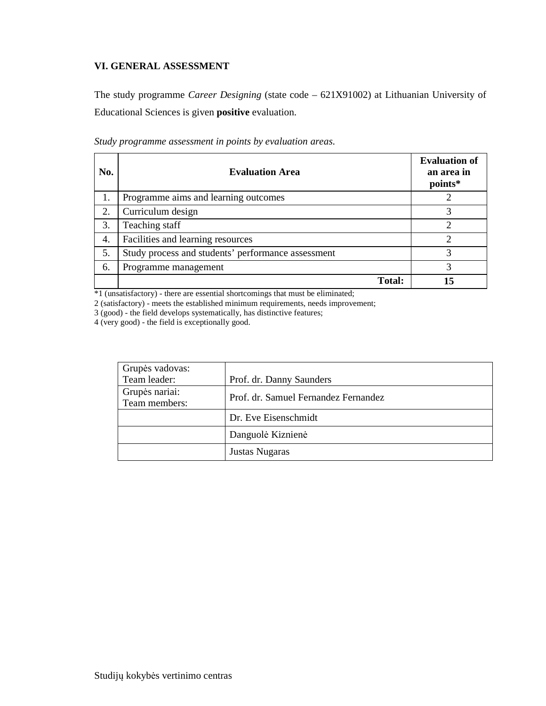# **VI. GENERAL ASSESSMENT**

The study programme *Career Designing* (state code – 621X91002) at Lithuanian University of Educational Sciences is given **positive** evaluation.

| No. | <b>Evaluation Area</b>                             | <b>Evaluation of</b><br>an area in<br>points* |
|-----|----------------------------------------------------|-----------------------------------------------|
| 1.  | Programme aims and learning outcomes               |                                               |
| 2.  | Curriculum design                                  |                                               |
| 3.  | Teaching staff                                     |                                               |
| 4.  | Facilities and learning resources                  |                                               |
| 5.  | Study process and students' performance assessment | 3                                             |
| 6.  | Programme management                               | 3                                             |
|     | <b>Total:</b>                                      | 15                                            |

*Study programme assessment in points by evaluation areas*.

\*1 (unsatisfactory) - there are essential shortcomings that must be eliminated;

2 (satisfactory) - meets the established minimum requirements, needs improvement;

3 (good) - the field develops systematically, has distinctive features;

4 (very good) - the field is exceptionally good.

| Grupės vadovas: |                                      |  |
|-----------------|--------------------------------------|--|
| Team leader:    | Prof. dr. Danny Saunders             |  |
| Grupės nariai:  | Prof. dr. Samuel Fernandez Fernandez |  |
| Team members:   |                                      |  |
|                 | Dr. Eve Eisenschmidt                 |  |
|                 | Danguolė Kiznienė                    |  |
|                 | Justas Nugaras                       |  |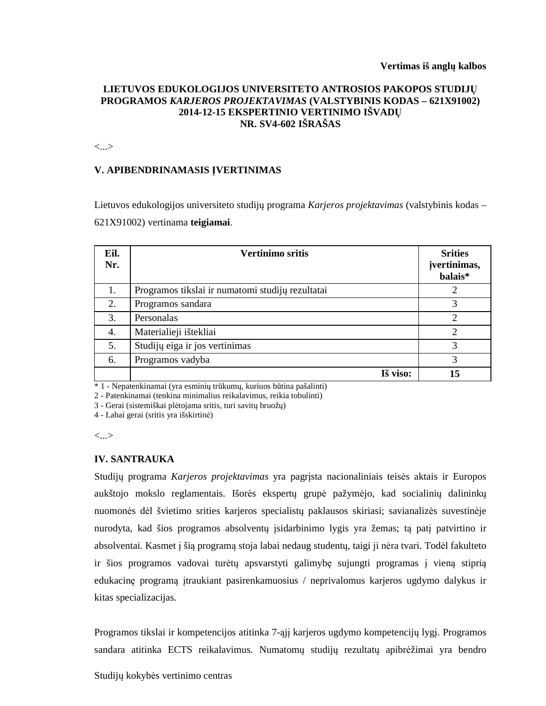## **LIETUVOS EDUKOLOGIJOS UNIVERSITETO ANTROSIOS PAKOPOS STUDIJŲ PROGRAMOS** *KARJEROS PROJEKTAVIMAS* **(VALSTYBINIS KODAS – 621X91002) 2014-12-15 EKSPERTINIO VERTINIMO IŠVADŲ NR. SV4-602 IŠRAŠAS**

<...>

#### **V. APIBENDRINAMASIS ĮVERTINIMAS**

Lietuvos edukologijos universiteto studijų programa *Karjeros projektavimas* (valstybinis kodas – 621X91002) vertinama **teigiamai**.

| Eil.<br>Nr. | <b>Vertinimo sritis</b>                          | <b>Srities</b><br>įvertinimas,<br>balais* |
|-------------|--------------------------------------------------|-------------------------------------------|
| 1.          | Programos tikslai ir numatomi studijų rezultatai | $\overline{2}$                            |
| 2.          | Programos sandara                                | 3                                         |
| 3.          | Personalas                                       | $\overline{2}$                            |
| 4.          | Materialieji ištekliai                           | $\overline{2}$                            |
| 5.          | Studijų eiga ir jos vertinimas                   | 3                                         |
| 6.          | Programos vadyba                                 | 3                                         |
|             |                                                  | Iš viso:<br>15                            |

\* 1 - Nepatenkinamai (yra esminių trūkumų, kuriuos būtina pašalinti)

2 - Patenkinamai (tenkina minimalius reikalavimus, reikia tobulinti)

3 - Gerai (sistemiškai plėtojama sritis, turi savitų bruožų)

4 - Labai gerai (sritis yra išskirtinė)

<...>

#### **IV. SANTRAUKA**

Studijų programa *Karjeros projektavimas* yra pagrįsta nacionaliniais teisės aktais ir Europos aukštojo mokslo reglamentais. Išorės ekspertų grupė pažymėjo, kad socialinių dalininkų nuomonės dėl švietimo srities karjeros specialistų paklausos skiriasi; savianalizės suvestinėje nurodyta, kad šios programos absolventų įsidarbinimo lygis yra žemas; tą patį patvirtino ir absolventai. Kasmet į šią programą stoja labai nedaug studentų, taigi ji nėra tvari. Todėl fakulteto ir šios programos vadovai turėtų apsvarstyti galimybę sujungti programas į vieną stiprią edukacinę programą įtraukiant pasirenkamuosius / neprivalomus karjeros ugdymo dalykus ir kitas specializacijas.

Programos tikslai ir kompetencijos atitinka 7-ąjį karjeros ugdymo kompetencijų lygį. Programos sandara atitinka ECTS reikalavimus. Numatomų studijų rezultatų apibrėžimai yra bendro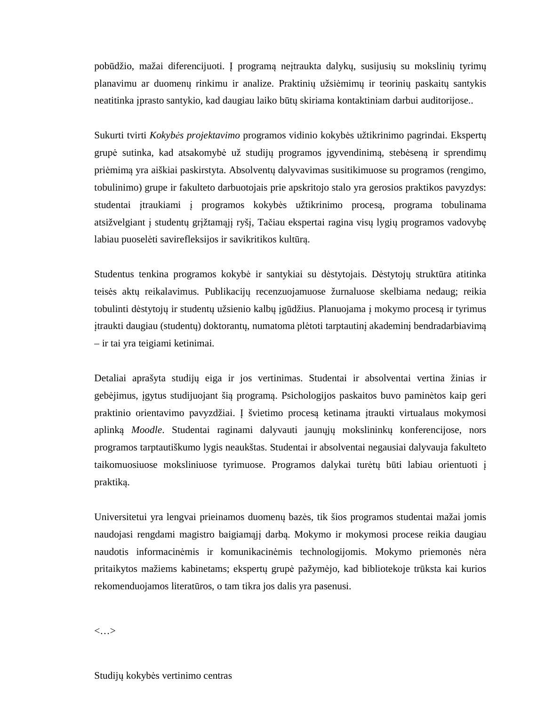pobūdžio, mažai diferencijuoti. Į programą neįtraukta dalykų, susijusių su mokslinių tyrimų planavimu ar duomenų rinkimu ir analize. Praktinių užsiėmimų ir teorinių paskaitų santykis neatitinka įprasto santykio, kad daugiau laiko būtų skiriama kontaktiniam darbui auditorijose..

Sukurti tvirti *Kokybės projektavimo* programos vidinio kokybės užtikrinimo pagrindai. Ekspertų grupė sutinka, kad atsakomybė už studijų programos įgyvendinimą, stebėseną ir sprendimų priėmimą yra aiškiai paskirstyta. Absolventų dalyvavimas susitikimuose su programos (rengimo, tobulinimo) grupe ir fakulteto darbuotojais prie apskritojo stalo yra gerosios praktikos pavyzdys: studentai įtraukiami į programos kokybės užtikrinimo procesą, programa tobulinama atsižvelgiant į studentų grįžtamąjį ryšį, Tačiau ekspertai ragina visų lygių programos vadovybę labiau puoselėti savirefleksijos ir savikritikos kultūrą.

Studentus tenkina programos kokybė ir santykiai su dėstytojais. Dėstytojų struktūra atitinka teisės aktų reikalavimus. Publikacijų recenzuojamuose žurnaluose skelbiama nedaug; reikia tobulinti dėstytojų ir studentų užsienio kalbų įgūdžius. Planuojama į mokymo procesą ir tyrimus įtraukti daugiau (studentų) doktorantų, numatoma plėtoti tarptautinį akademinį bendradarbiavimą – ir tai yra teigiami ketinimai.

Detaliai aprašyta studijų eiga ir jos vertinimas. Studentai ir absolventai vertina žinias ir gebėjimus, įgytus studijuojant šią programą. Psichologijos paskaitos buvo paminėtos kaip geri praktinio orientavimo pavyzdžiai. Į švietimo procesą ketinama įtraukti virtualaus mokymosi aplinką *Moodle*. Studentai raginami dalyvauti jaunųjų mokslininkų konferencijose, nors programos tarptautiškumo lygis neaukštas. Studentai ir absolventai negausiai dalyvauja fakulteto taikomuosiuose moksliniuose tyrimuose. Programos dalykai turėtų būti labiau orientuoti į praktiką.

Universitetui yra lengvai prieinamos duomenų bazės, tik šios programos studentai mažai jomis naudojasi rengdami magistro baigiamąjį darbą. Mokymo ir mokymosi procese reikia daugiau naudotis informacinėmis ir komunikacinėmis technologijomis. Mokymo priemonės nėra pritaikytos mažiems kabinetams; ekspertų grupė pažymėjo, kad bibliotekoje trūksta kai kurios rekomenduojamos literatūros, o tam tikra jos dalis yra pasenusi.

<…>